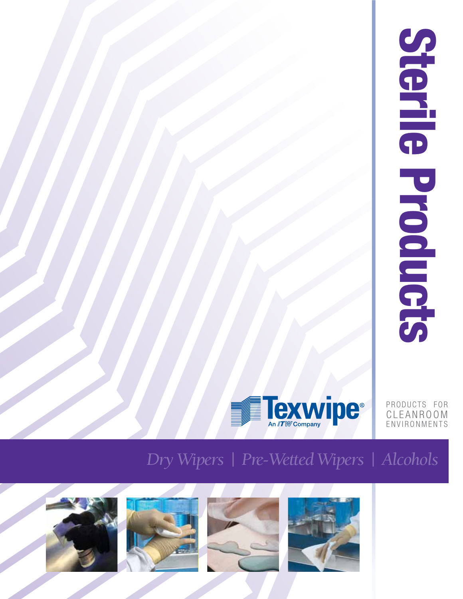| $\subset$<br>G<br>$\blacksquare$ |  |
|----------------------------------|--|
| $\ddot{\phantom{0}}$<br>Ì        |  |
| 7                                |  |



PRODUCTS FOR CLEANROOM ENVIRONMENTS

## *Dry Wipers | Pre-Wetted Wipers | Alcohols*







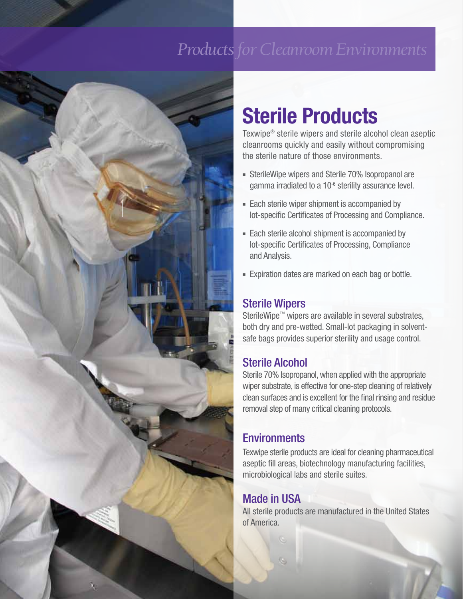## *Products for Cleanroom Environments*



# **Sterile Products**

Texwipe® sterile wipers and sterile alcohol clean aseptic cleanrooms quickly and easily without compromising the sterile nature of those environments.

- **Fig. 3** SterileWipe wipers and Sterile 70% Isopropanol are gamma irradiated to a 10<sup>-6</sup> sterility assurance level.
- **Each sterile wiper shipment is accompanied by** lot-specific Certificates of Processing and Compliance.
- Each sterile alcohol shipment is accompanied by lot-specific Certificates of Processing, Compliance and Analysis.
- **Expiration dates are marked on each bag or bottle.**

### Sterile Wipers

SterileWipe™ wipers are available in several substrates, both dry and pre-wetted. Small-lot packaging in solventsafe bags provides superior sterility and usage control.

### Sterile Alcohol

Sterile 70% Isopropanol, when applied with the appropriate wiper substrate, is effective for one-step cleaning of relatively clean surfaces and is excellent for the final rinsing and residue removal step of many critical cleaning protocols.

### **Environments**

Texwipe sterile products are ideal for cleaning pharmaceutical aseptic fill areas, biotechnology manufacturing facilities, microbiological labs and sterile suites.

### Made in USA

All sterile products are manufactured in the United States of America.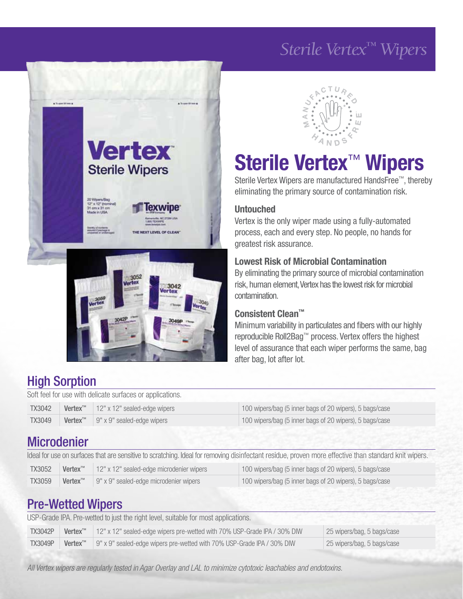## *Sterile Vertex™ Wipers*





# **Sterile Vertex**™ **Wipers**

Sterile Vertex Wipers are manufactured HandsFree™, thereby eliminating the primary source of contamination risk.

#### **Untouched**

Vertex is the only wiper made using a fully-automated process, each and every step. No people, no hands for greatest risk assurance.

#### **Lowest Risk of Microbial Contamination**

By eliminating the primary source of microbial contamination risk, human element, Vertex has the lowest risk for microbial contamination.

#### **Consistent Clean™**

Minimum variability in particulates and fibers with our highly reproducible Roll2Bag™ process. Vertex offers the highest level of assurance that each wiper performs the same, bag after bag, lot after lot.

### High Sorption

Soft feel for use with delicate surfaces or applications.

| <b>TX3042</b> | <b>Vertex<sup>™</sup></b>   $12" \times 12"$ sealed-edge wipers | 100 wipers/bag (5 inner bags of 20 wipers), 5 bags/case |
|---------------|-----------------------------------------------------------------|---------------------------------------------------------|
| <b>TX3049</b> | <b>Vertex</b> <sup>™</sup> 9" x 9" sealed-edge wipers           | 100 wipers/bag (5 inner bags of 20 wipers), 5 bags/case |

### **Microdenier**

| Ideal for use on surfaces that are sensitive to scratching. Ideal for removing disinfectant residue, proven more effective than standard knit wipers. |                                                                                                                            |  |                                                         |  |  |
|-------------------------------------------------------------------------------------------------------------------------------------------------------|----------------------------------------------------------------------------------------------------------------------------|--|---------------------------------------------------------|--|--|
| <b>TX3052</b>                                                                                                                                         | Vertex <sup>™</sup><br>12" x 12" sealed-edge microdenier wipers<br>100 wipers/bag (5 inner bags of 20 wipers), 5 bags/case |  |                                                         |  |  |
| <b>TX3059</b><br>Vertex™<br>9" x 9" sealed-edge microdenier wipers                                                                                    |                                                                                                                            |  | 100 wipers/bag (5 inner bags of 20 wipers), 5 bags/case |  |  |

### Pre-Wetted Wipers

| USP-Grade IPA. Pre-wetted to just the right level, suitable for most applications. |                                                                                                                               |                                                                        |                            |  |  |
|------------------------------------------------------------------------------------|-------------------------------------------------------------------------------------------------------------------------------|------------------------------------------------------------------------|----------------------------|--|--|
| <b>TX3042P</b>                                                                     | Vertex <sup>™</sup><br>12" x 12" sealed-edge wipers pre-wetted with 70% USP-Grade IPA / 30% DIW<br>25 wipers/bag, 5 bags/case |                                                                        |                            |  |  |
| <b>TX3049P</b>                                                                     | Vertex <sup>™</sup>                                                                                                           | 9" x 9" sealed-edge wipers pre-wetted with 70% USP-Grade IPA / 30% DIW | 25 wipers/bag, 5 bags/case |  |  |

*All Vertex wipers are regularly tested in Agar Overlay and LAL to minimize cytotoxic leachables and endotoxins.*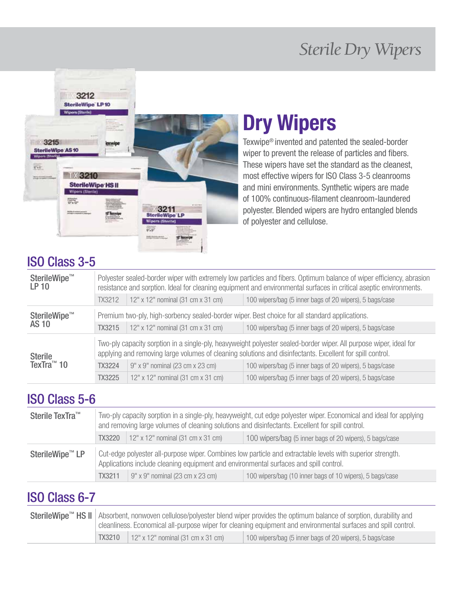## *Sterile Dry Wipers*



# **Dry Wipers**

Texwipe® invented and patented the sealed-border wiper to prevent the release of particles and fibers. These wipers have set the standard as the cleanest, most effective wipers for ISO Class 3-5 cleanrooms and mini environments. Synthetic wipers are made of 100% continuous-filament cleanroom-laundered polyester. Blended wipers are hydro entangled blends of polyester and cellulose.

### ISO Class 3-5

| SterileWipe™<br><b>LP 10</b>                                                                                                                                                                                                                      | Polyester sealed-border wiper with extremely low particles and fibers. Optimum balance of wiper efficiency, abrasion<br>resistance and sorption. Ideal for cleaning equipment and environmental surfaces in critical aseptic environments. |                                   |                                                         |
|---------------------------------------------------------------------------------------------------------------------------------------------------------------------------------------------------------------------------------------------------|--------------------------------------------------------------------------------------------------------------------------------------------------------------------------------------------------------------------------------------------|-----------------------------------|---------------------------------------------------------|
|                                                                                                                                                                                                                                                   | TX3212                                                                                                                                                                                                                                     | 12" x 12" nominal (31 cm x 31 cm) | 100 wipers/bag (5 inner bags of 20 wipers), 5 bags/case |
| SterileWipe™                                                                                                                                                                                                                                      | Premium two-ply, high-sorbency sealed-border wiper. Best choice for all standard applications.                                                                                                                                             |                                   |                                                         |
| <b>AS 10</b>                                                                                                                                                                                                                                      | TX3215                                                                                                                                                                                                                                     | 12" x 12" nominal (31 cm x 31 cm) | 100 wipers/bag (5 inner bags of 20 wipers), 5 bags/case |
| Two-ply capacity sorption in a single-ply, heavyweight polyester sealed-border wiper. All purpose wiper, ideal for<br>applying and removing large volumes of cleaning solutions and disinfectants. Excellent for spill control.<br><b>Sterile</b> |                                                                                                                                                                                                                                            |                                   |                                                         |
| TexTra <sup>™</sup> 10                                                                                                                                                                                                                            | TX3224                                                                                                                                                                                                                                     | 9" x 9" nominal (23 cm x 23 cm)   | 100 wipers/bag (5 inner bags of 20 wipers), 5 bags/case |
|                                                                                                                                                                                                                                                   | TX3225                                                                                                                                                                                                                                     | 12" x 12" nominal (31 cm x 31 cm) | 100 wipers/bag (5 inner bags of 20 wipers), 5 bags/case |

### ISO Class 5-6

| Sterile TexTra™                             | Two-ply capacity sorption in a single-ply, heavyweight, cut edge polyester wiper. Economical and ideal for applying<br>and removing large volumes of cleaning solutions and disinfectants. Excellent for spill control. |                                                          |                                                         |
|---------------------------------------------|-------------------------------------------------------------------------------------------------------------------------------------------------------------------------------------------------------------------------|----------------------------------------------------------|---------------------------------------------------------|
|                                             | TX3220                                                                                                                                                                                                                  | 12" x 12" nominal (31 cm x 31 cm)                        | 100 wipers/bag (5 inner bags of 20 wipers), 5 bags/case |
| SterileWipe <sup>™</sup> LP                 | Cut-edge polyester all-purpose wiper. Combines low particle and extractable levels with superior strength.<br>Applications include cleaning equipment and environmental surfaces and spill control.                     |                                                          |                                                         |
| $9"$ x 9" nominal (23 cm x 23 cm)<br>TX3211 |                                                                                                                                                                                                                         | 100 wipers/bag (10 inner bags of 10 wipers), 5 bags/case |                                                         |

### ISO Class 6-7

| SterileWipe™ HS II   Absorbent, nonwoven cellulose/polyester blend wiper provides the optimum balance of sorption, durability and<br>cleanliness. Economical all-purpose wiper for cleaning equipment and environmental surfaces and spill control. |                                   |                                                         |
|-----------------------------------------------------------------------------------------------------------------------------------------------------------------------------------------------------------------------------------------------------|-----------------------------------|---------------------------------------------------------|
| TX3210                                                                                                                                                                                                                                              | 12" x 12" nominal (31 cm x 31 cm) | 100 wipers/bag (5 inner bags of 20 wipers), 5 bags/case |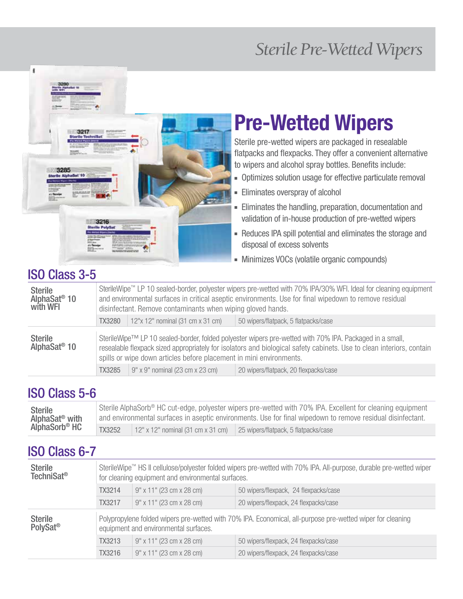## *Sterile Pre-Wetted Wipers*

## **Pre-Wetted Wipers** Sterile pre-wetted wipers are packaged in resealable

flatpacks and flexpacks. They offer a convenient alternative to wipers and alcohol spray bottles. Benefits include:

- **-** Optimizes solution usage for effective particulate removal
- **Eliminates overspray of alcohol**
- **Eliminates the handling, preparation, documentation and** validation of in-house production of pre-wetted wipers
- **-** Reduces IPA spill potential and eliminates the storage and disposal of excess solvents
- <sup>7</sup> Minimizes VOCs (volatile organic compounds)

### ISO Class 3-5

3285

ï

| SterileWipe™ LP 10 sealed-border, polyester wipers pre-wetted with 70% IPA/30% WFI. Ideal for cleaning equipment<br><b>Sterile</b><br>AlphaSat <sup>®</sup> 10<br>and environmental surfaces in critical aseptic environments. Use for final wipedown to remove residual<br>with WFI<br>disinfectant. Remove contaminants when wiping gloved hands. |                                                                                                                                                                                                                                                                                                         |  |  |  |
|-----------------------------------------------------------------------------------------------------------------------------------------------------------------------------------------------------------------------------------------------------------------------------------------------------------------------------------------------------|---------------------------------------------------------------------------------------------------------------------------------------------------------------------------------------------------------------------------------------------------------------------------------------------------------|--|--|--|
|                                                                                                                                                                                                                                                                                                                                                     | 12"x 12" nominal (31 cm x 31 cm)<br>50 wipers/flatpack, 5 flatpacks/case<br><b>TX3280</b>                                                                                                                                                                                                               |  |  |  |
| <b>Sterile</b><br>AlphaSat <sup>®</sup> 10                                                                                                                                                                                                                                                                                                          | SterileWipe™ LP 10 sealed-border, folded polyester wipers pre-wetted with 70% IPA. Packaged in a small,<br>resealable flexpack sized appropriately for isolators and biological safety cabinets. Use to clean interiors, contain<br>spills or wipe down articles before placement in mini environments. |  |  |  |
| TX3285<br>$\vert$ 9" x 9" nominal (23 cm x 23 cm)<br>20 wipers/flatpack, 20 flexpacks/case                                                                                                                                                                                                                                                          |                                                                                                                                                                                                                                                                                                         |  |  |  |

### ISO Class 5-6

| <b>Sterile</b>             | Sterile AlphaSorb® HC cut-edge, polyester wipers pre-wetted with 70% IPA. Excellent for cleaning equipment  |                                   |                                      |
|----------------------------|-------------------------------------------------------------------------------------------------------------|-----------------------------------|--------------------------------------|
| AlphaSat <sup>®</sup> with | and environmental surfaces in aseptic environments. Use for final wipedown to remove residual disinfectant. |                                   |                                      |
| AlphaSorb <sup>®</sup> HC  | <b>TX3252</b>                                                                                               | 12" x 12" nominal (31 cm x 31 cm) | 25 wipers/flatpack, 5 flatpacks/case |

### ISO Class 6-7

| <b>Sterile</b><br><b>TechniSat<sup>®</sup></b> | SterileWipe™ HS II cellulose/polyester folded wipers pre-wetted with 70% IPA. All-purpose, durable pre-wetted wiper<br>for cleaning equipment and environmental surfaces. |                                       |                                                                                                            |
|------------------------------------------------|---------------------------------------------------------------------------------------------------------------------------------------------------------------------------|---------------------------------------|------------------------------------------------------------------------------------------------------------|
|                                                | TX3214                                                                                                                                                                    | 9" x 11" (23 cm x 28 cm)              | 50 wipers/flexpack, 24 flexpacks/case                                                                      |
|                                                | <b>TX3217</b>                                                                                                                                                             | 9" x 11" (23 cm x 28 cm)              | 20 wipers/flexpack, 24 flexpacks/case                                                                      |
| <b>Sterile</b><br>PolySat <sup>®</sup>         |                                                                                                                                                                           | equipment and environmental surfaces. | Polypropylene folded wipers pre-wetted with 70% IPA. Economical, all-purpose pre-wetted wiper for cleaning |
|                                                | TX3213                                                                                                                                                                    | 9" x 11" (23 cm x 28 cm)              | 50 wipers/flexpack, 24 flexpacks/case                                                                      |
|                                                | TX3216                                                                                                                                                                    | 9" x 11" (23 cm x 28 cm)              | 20 wipers/flexpack, 24 flexpacks/case                                                                      |